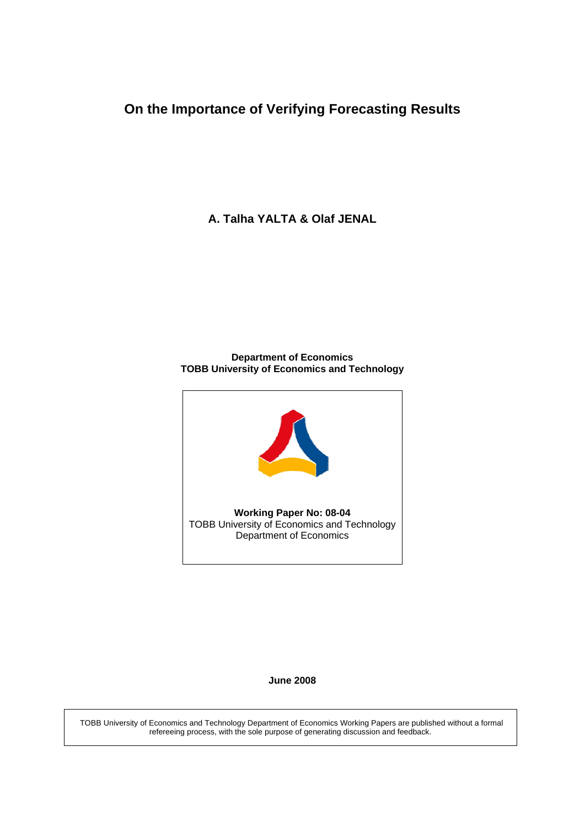# **On the Importance of Verifying Forecasting Results**

**A. Talha YALTA & Olaf JENAL** 

#### **Department of Economics TOBB University of Economics and Technology**



#### **June 2008**

 TOBB University of Economics and Technology Department of Economics Working Papers are published without a formal refereeing process, with the sole purpose of generating discussion and feedback.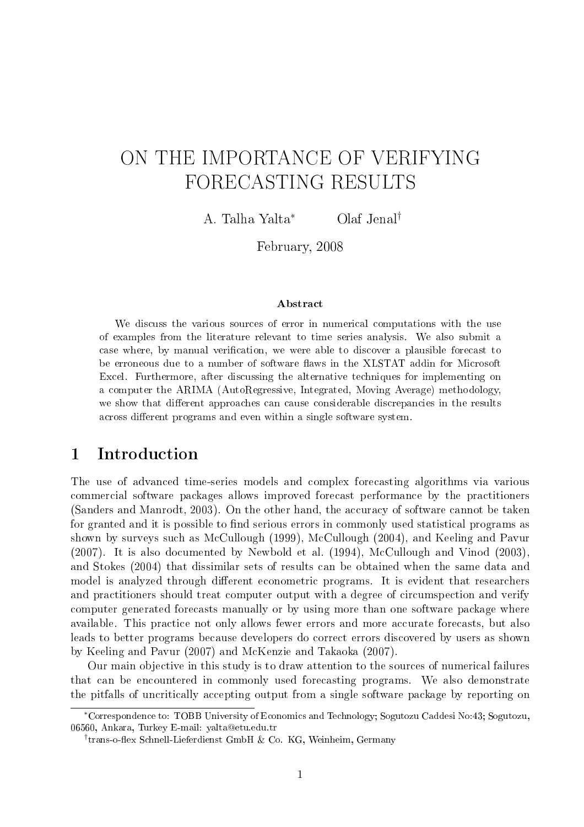# ON THE IMPORTANCE OF VERIFYING FORECASTING RESULTS

A. Talha Yalta<sup>∗</sup> Olaf Jenal†

February, 2008

#### Abstract

We discuss the various sources of error in numerical computations with the use of examples from the literature relevant to time series analysis. We also submit a case where, by manual verification, we were able to discover a plausible forecast to be erroneous due to a number of software flaws in the XLSTAT addin for Microsoft Excel. Furthermore, after discussing the alternative techniques for implementing on a computer the ARIMA (AutoRegressive, Integrated, Moving Average) methodology, we show that different approaches can cause considerable discrepancies in the results across different programs and even within a single software system.

## 1 Introduction

The use of advanced time-series models and complex forecasting algorithms via various commercial software packages allows improved forecast performance by the practitioners (Sanders and Manrodt, 2003). On the other hand, the accuracy of software cannot be taken for granted and it is possible to find serious errors in commonly used statistical programs as shown by surveys such as McCullough (1999), McCullough (2004), and Keeling and Pavur (2007). It is also documented by Newbold et al. (1994), McCullough and Vinod (2003), and Stokes (2004) that dissimilar sets of results can be obtained when the same data and model is analyzed through different econometric programs. It is evident that researchers and practitioners should treat computer output with a degree of circumspection and verify computer generated forecasts manually or by using more than one software package where available. This practice not only allows fewer errors and more accurate forecasts, but also leads to better programs because developers do correct errors discovered by users as shown by Keeling and Pavur (2007) and McKenzie and Takaoka (2007).

Our main objective in this study is to draw attention to the sources of numerical failures that can be encountered in commonly used forecasting programs. We also demonstrate the pitfalls of uncritically accepting output from a single software package by reporting on

<sup>∗</sup>Correspondence to: TOBB University of Economics and Technology; Sogutozu Caddesi No:43; Sogutozu, 06560, Ankara, Turkey E-mail: yalta@etu.edu.tr

<sup>&</sup>lt;sup>†</sup>trans-o-flex Schnell-Lieferdienst GmbH & Co. KG, Weinheim, Germany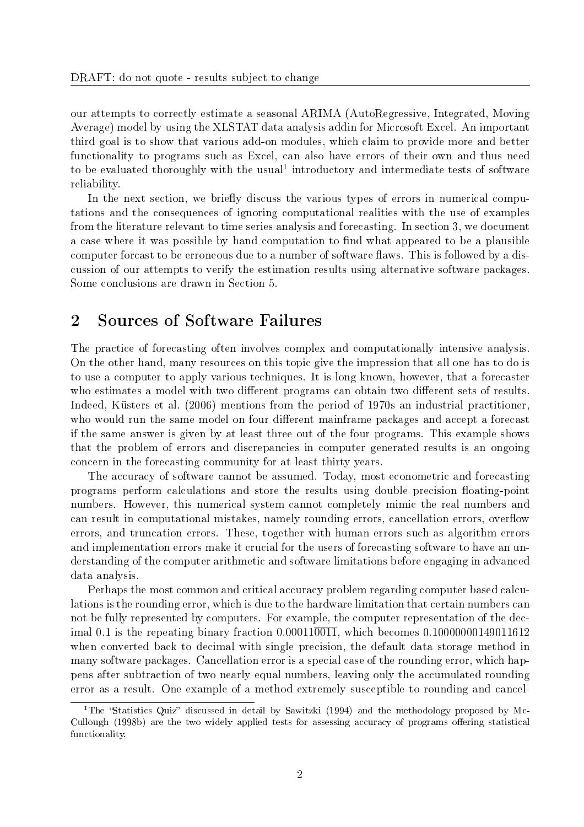our attempts to correctly estimate a seasonal ARIMA (AutoRegressive, Integrated, Moving Average) model by using the XLSTAT data analysis addin for Microsoft Excel. An important third goal is to show that various add-on modules, which claim to provide more and better functionality to programs such as Excel, can also have errors of their own and thus need to be evaluated thoroughly with the usual<sup>1</sup> introductory and intermediate tests of software reliability.

In the next section, we briefly discuss the various types of errors in numerical computations and the consequences of ignoring computational realities with the use of examples from the literature relevant to time series analysis and forecasting. In section 3, we document a case where it was possible by hand computation to find what appeared to be a plausible computer forcast to be erroneous due to a number of software flaws. This is followed by a discussion of our attempts to verify the estimation results using alternative software packages. Some conclusions are drawn in Section 5.

## 2 Sources of Software Failures

The practice of forecasting often involves complex and computationally intensive analysis. On the other hand, many resources on this topic give the impression that all one has to do is to use a computer to apply various techniques. It is long known, however, that a forecaster who estimates a model with two different programs can obtain two different sets of results. Indeed, Küsters et al. (2006) mentions from the period of 1970s an industrial practitioner, who would run the same model on four different mainframe packages and accept a forecast if the same answer is given by at least three out of the four programs. This example shows that the problem of errors and discrepancies in computer generated results is an ongoing concern in the forecasting community for at least thirty years.

The accuracy of software cannot be assumed. Today, most econometric and forecasting programs perform calculations and store the results using double precision floating-point numbers. However, this numerical system cannot completely mimic the real numbers and can result in computational mistakes, namely rounding errors, cancellation errors, overflow errors, and truncation errors. These, together with human errors such as algorithm errors and implementation errors make it crucial for the users of forecasting software to have an understanding of the computer arithmetic and software limitations before engaging in advanced data analysis.

Perhaps the most common and critical accuracy problem regarding computer based calculations is the rounding error, which is due to the hardware limitation that certain numbers can not be fully represented by computers. For example, the computer representation of the decimal 0.1 is the repeating binary fraction  $0.00011\overline{0011}$ , which becomes  $0.10000000149011612$ when converted back to decimal with single precision, the default data storage method in many software packages. Cancellation error is a special case of the rounding error, which happens after subtraction of two nearly equal numbers, leaving only the accumulated rounding error as a result. One example of a method extremely susceptible to rounding and cancel-

<sup>&</sup>lt;sup>1</sup>The "Statistics Quiz" discussed in detail by Sawitzki (1994) and the methodology proposed by Mc-Cullough (1998b) are the two widely applied tests for assessing accuracy of programs offering statistical functionality.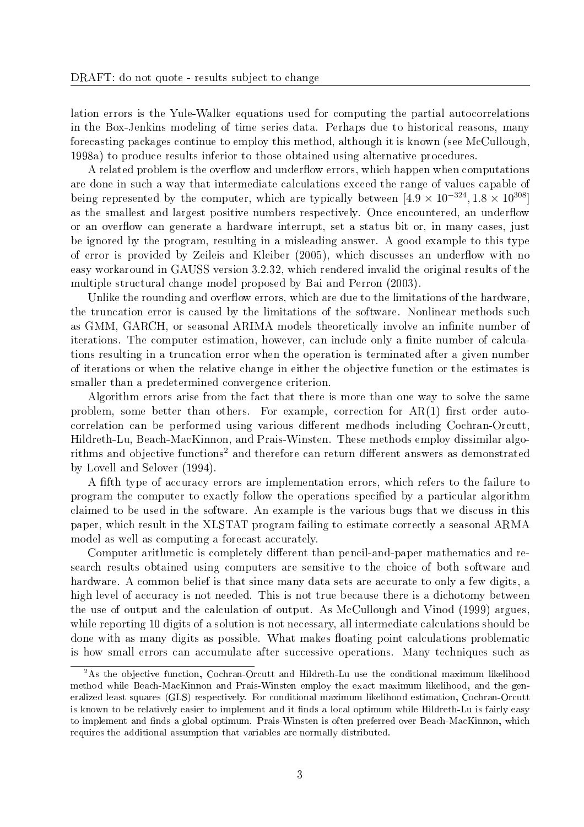lation errors is the Yule-Walker equations used for computing the partial autocorrelations in the Box-Jenkins modeling of time series data. Perhaps due to historical reasons, many forecasting packages continue to employ this method, although it is known (see McCullough, 1998a) to produce results inferior to those obtained using alternative procedures.

A related problem is the overflow and underflow errors, which happen when computations are done in such a way that intermediate calculations exceed the range of values capable of being represented by the computer, which are typically between  $[4.9 \times 10^{-324}, 1.8 \times 10^{308}]$ as the smallest and largest positive numbers respectively. Once encountered, an underflow or an overflow can generate a hardware interrupt, set a status bit or, in many cases, just be ignored by the program, resulting in a misleading answer. A good example to this type of error is provided by Zeileis and Kleiber (2005), which discusses an underflow with no easy workaround in GAUSS version 3.2.32, which rendered invalid the original results of the multiple structural change model proposed by Bai and Perron (2003).

Unlike the rounding and overflow errors, which are due to the limitations of the hardware, the truncation error is caused by the limitations of the software. Nonlinear methods such as GMM, GARCH, or seasonal ARIMA models theoretically involve an infinite number of iterations. The computer estimation, however, can include only a finite number of calculations resulting in a truncation error when the operation is terminated after a given number of iterations or when the relative change in either the objective function or the estimates is smaller than a predetermined convergence criterion.

Algorithm errors arise from the fact that there is more than one way to solve the same problem, some better than others. For example, correction for  $AR(1)$  first order autocorrelation can be performed using various different medhods including Cochran-Orcutt, Hildreth-Lu, Beach-MacKinnon, and Prais-Winsten. These methods employ dissimilar algorithms and objective functions<sup>2</sup> and therefore can return different answers as demonstrated by Lovell and Selover (1994).

A fth type of accuracy errors are implementation errors, which refers to the failure to program the computer to exactly follow the operations specified by a particular algorithm claimed to be used in the software. An example is the various bugs that we discuss in this paper, which result in the XLSTAT program failing to estimate correctly a seasonal ARMA model as well as computing a forecast accurately.

Computer arithmetic is completely different than pencil-and-paper mathematics and research results obtained using computers are sensitive to the choice of both software and hardware. A common belief is that since many data sets are accurate to only a few digits, a high level of accuracy is not needed. This is not true because there is a dichotomy between the use of output and the calculation of output. As McCullough and Vinod (1999) argues, while reporting 10 digits of a solution is not necessary, all intermediate calculations should be done with as many digits as possible. What makes floating point calculations problematic is how small errors can accumulate after successive operations. Many techniques such as

<sup>&</sup>lt;sup>2</sup>As the objective function, Cochran-Orcutt and Hildreth-Lu use the conditional maximum likelihood method while Beach-MacKinnon and Prais-Winsten employ the exact maximum likelihood, and the generalized least squares (GLS) respectively. For conditional maximum likelihood estimation, Cochran-Orcutt is known to be relatively easier to implement and it finds a local optimum while Hildreth-Lu is fairly easy to implement and finds a global optimum. Prais-Winsten is often preferred over Beach-MacKinnon, which requires the additional assumption that variables are normally distributed.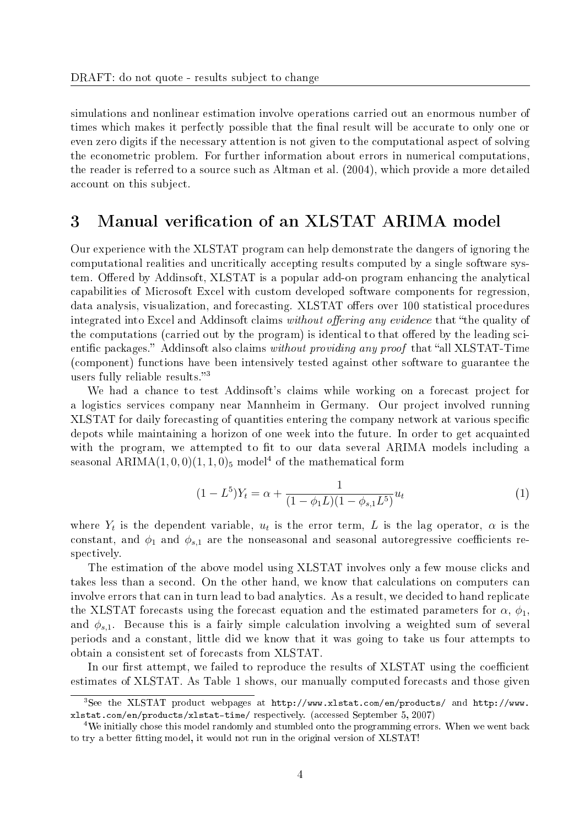simulations and nonlinear estimation involve operations carried out an enormous number of times which makes it perfectly possible that the final result will be accurate to only one or even zero digits if the necessary attention is not given to the computational aspect of solving the econometric problem. For further information about errors in numerical computations, the reader is referred to a source such as Altman et al. (2004), which provide a more detailed account on this subject.

### 3 Manual verification of an XLSTAT ARIMA model

Our experience with the XLSTAT program can help demonstrate the dangers of ignoring the computational realities and uncritically accepting results computed by a single software system. Offered by Addinsoft, XLSTAT is a popular add-on program enhancing the analytical capabilities of Microsoft Excel with custom developed software components for regression, data analysis, visualization, and forecasting. XLSTAT offers over 100 statistical procedures integrated into Excel and Addinsoft claims without offering any evidence that "the quality of the computations (carried out by the program) is identical to that offered by the leading scientific packages." Addinsoft also claims without providing any proof that "all XLSTAT-Time" (component) functions have been intensively tested against other software to guarantee the users fully reliable results.<sup>3</sup>

We had a chance to test Addinsoft's claims while working on a forecast project for a logistics services company near Mannheim in Germany. Our project involved running XLSTAT for daily forecasting of quantities entering the company network at various specific depots while maintaining a horizon of one week into the future. In order to get acquainted with the program, we attempted to fit to our data several ARIMA models including a seasonal ARIMA $(1, 0, 0)$  $(1, 1, 0)$ <sub>5</sub> model<sup>4</sup> of the mathematical form

$$
(1 - L5)Yt = \alpha + \frac{1}{(1 - \phi_1 L)(1 - \phi_{s,1} L5)} ut
$$
\n(1)

where  $Y_t$  is the dependent variable,  $u_t$  is the error term, L is the lag operator,  $\alpha$  is the constant, and  $\phi_1$  and  $\phi_{s,1}$  are the nonseasonal and seasonal autoregressive coefficients respectively.

The estimation of the above model using XLSTAT involves only a few mouse clicks and takes less than a second. On the other hand, we know that calculations on computers can involve errors that can in turn lead to bad analytics. As a result, we decided to hand replicate the XLSTAT forecasts using the forecast equation and the estimated parameters for  $\alpha$ ,  $\phi_1$ . and  $\phi_{s,1}$ . Because this is a fairly simple calculation involving a weighted sum of several periods and a constant, little did we know that it was going to take us four attempts to obtain a consistent set of forecasts from XLSTAT.

In our first attempt, we failed to reproduce the results of XLSTAT using the coefficient estimates of XLSTAT. As Table 1 shows, our manually computed forecasts and those given

<sup>&</sup>lt;sup>3</sup>See the XLSTAT product webpages at  $http://www.xlstat.com/en/products/$  and  $http://www.$ xlstat.com/en/products/xlstat-time/ respectively. (accessed September 5, 2007)

<sup>&</sup>lt;sup>4</sup>We initially chose this model randomly and stumbled onto the programming errors. When we went back to try a better fitting model, it would not run in the original version of XLSTAT!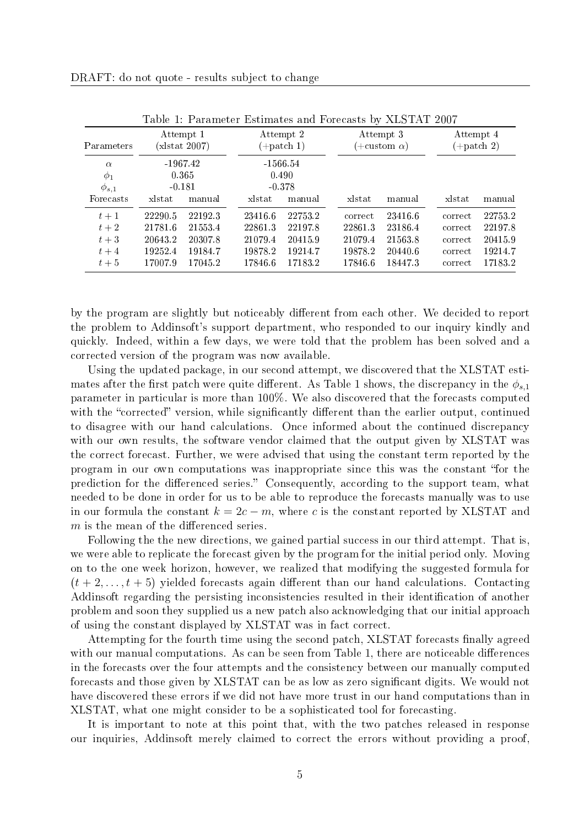| Parameters                           | Attempt 1<br>$(x$ stat $2007$ ) |                                 | Attempt 2<br>$(+$ patch 1)      |         | Attempt 3<br>$(+\text{custom }\alpha)$ |         | Attempt 4<br>$(+$ patch 2) |         |
|--------------------------------------|---------------------------------|---------------------------------|---------------------------------|---------|----------------------------------------|---------|----------------------------|---------|
| $\alpha$<br>$\phi_1$<br>$\phi_{s,1}$ |                                 | $-1967.42$<br>0.365<br>$-0.181$ | $-1566.54$<br>0.490<br>$-0.378$ |         |                                        |         |                            |         |
| Forecasts                            | xlstat                          | manual                          | xlstat                          | manual  | xlstat                                 | manual  | xlstat                     | manual  |
| $t+1$                                | 22290.5                         | 22192.3                         | 23416.6                         | 22753.2 | correct                                | 23416.6 | correct                    | 22753.2 |
| $t+2$                                | 21781.6                         | 21553.4                         | 22861.3                         | 22197.8 | 22861.3                                | 23186.4 | correct                    | 22197.8 |
| $t+3$                                | 20643.2                         | 20307.8                         | 21079.4                         | 20415.9 | 21079.4                                | 21563.8 | correct                    | 20415.9 |
| $t+4$                                | 19252.4                         | 19184.7                         | 19878.2                         | 19214.7 | 19878.2                                | 20440.6 | correct                    | 19214.7 |
| $t+5$                                | 17007.9                         | 17045.2                         | 17846.6                         | 17183.2 | 17846.6                                | 18447.3 | correct                    | 17183.2 |

Table 1: Parameter Estimates and Forecasts by XLSTAT 2007

by the program are slightly but noticeably different from each other. We decided to report the problem to Addinsoft's support department, who responded to our inquiry kindly and quickly. Indeed, within a few days, we were told that the problem has been solved and a corrected version of the program was now available.

Using the updated package, in our second attempt, we discovered that the XLSTAT estimates after the first patch were quite different. As Table 1 shows, the discrepancy in the  $\phi_{s,1}$ parameter in particular is more than 100%. We also discovered that the forecasts computed with the "corrected" version, while significantly different than the earlier output, continued to disagree with our hand calculations. Once informed about the continued discrepancy with our own results, the software vendor claimed that the output given by XLSTAT was the correct forecast. Further, we were advised that using the constant term reported by the program in our own computations was inappropriate since this was the constant "for the prediction for the differenced series." Consequently, according to the support team, what needed to be done in order for us to be able to reproduce the forecasts manually was to use in our formula the constant  $k = 2c - m$ , where c is the constant reported by XLSTAT and  $m$  is the mean of the differenced series.

Following the the new directions, we gained partial success in our third attempt. That is, we were able to replicate the forecast given by the program for the initial period only. Moving on to the one week horizon, however, we realized that modifying the suggested formula for  $(t+2,\ldots,t+5)$  yielded forecasts again different than our hand calculations. Contacting Addinsoft regarding the persisting inconsistencies resulted in their identification of another problem and soon they supplied us a new patch also acknowledging that our initial approach of using the constant displayed by XLSTAT was in fact correct.

Attempting for the fourth time using the second patch, XLSTAT forecasts finally agreed with our manual computations. As can be seen from Table 1, there are noticeable differences in the forecasts over the four attempts and the consistency between our manually computed forecasts and those given by XLSTAT can be as low as zero signicant digits. We would not have discovered these errors if we did not have more trust in our hand computations than in XLSTAT, what one might consider to be a sophisticated tool for forecasting.

It is important to note at this point that, with the two patches released in response our inquiries, Addinsoft merely claimed to correct the errors without providing a proof,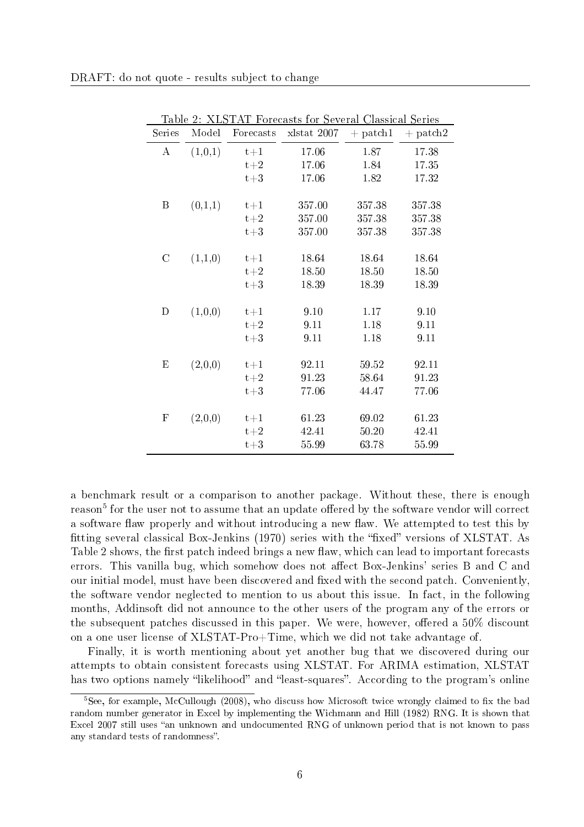| ταυ ε<br>Series           | Model   | Forecasts | 2. ADDIAI FORCASIS IOI DEVELAI CIASSICAI DELIES<br>xlstat 2007 | $+$ patch1 | $+$ patch2 |
|---------------------------|---------|-----------|----------------------------------------------------------------|------------|------------|
| $\bf{A}$                  | (1,0,1) | $t+1$     | 17.06                                                          | 1.87       | 17.38      |
|                           |         | $t+2$     | 17.06                                                          | 1.84       | 17.35      |
|                           |         | $t+3$     | 17.06                                                          | 1.82       | 17.32      |
|                           |         |           |                                                                |            |            |
| $\boldsymbol{B}$          | (0,1,1) | $t+1$     | 357.00                                                         | 357.38     | 357.38     |
|                           |         | $t+2$     | 357.00                                                         | 35738      | 357.38     |
|                           |         | $t+3$     | 357.00                                                         | 35738      | 357.38     |
|                           |         |           |                                                                |            |            |
| $\mathcal{C}$             | (1,1,0) | $t+1$     | 18.64                                                          | 18.64      | 18.64      |
|                           |         | $t+2$     | 18.50                                                          | 18.50      | 18.50      |
|                           |         | $t+3$     | 18.39                                                          | 18.39      | 18.39      |
| D                         | (1,0,0) | $t+1$     | 9.10                                                           | 1.17       | 9.10       |
|                           |         | $t+2$     | 9.11                                                           | 1.18       | 9.11       |
|                           |         | $t+3$     | 9.11                                                           | 1.18       | 9.11       |
|                           |         |           |                                                                |            |            |
| $\boldsymbol{\mathrm{E}}$ | (2,0,0) | $t+1$     | 92.11                                                          | 59.52      | 92.11      |
|                           |         | $t+2$     | 91.23                                                          | 58.64      | 91.23      |
|                           |         | $t+3$     | 77.06                                                          | 44.47      | 77.06      |
|                           |         |           |                                                                |            |            |
| $\mathbf{F}$              | (2,0,0) | $t+1$     | 61.23                                                          | 69.02      | 61.23      |
|                           |         | $t+2$     | 42.41                                                          | 50.20      | 42.41      |
|                           |         | $t+3$     | 55.99                                                          | 63.78      | 55.99      |

Table 2: XLSTAT Forecasts for Several Classical Series

a benchmark result or a comparison to another package. Without these, there is enough reason $^5$  for the user not to assume that an update offered by the software vendor will correct a software flaw properly and without introducing a new flaw. We attempted to test this by fitting several classical Box-Jenkins  $(1970)$  series with the "fixed" versions of XLSTAT. As Table 2 shows, the first patch indeed brings a new flaw, which can lead to important forecasts errors. This vanilla bug, which somehow does not affect Box-Jenkins' series B and C and our initial model, must have been discovered and fixed with the second patch. Conveniently, the software vendor neglected to mention to us about this issue. In fact, in the following months, Addinsoft did not announce to the other users of the program any of the errors or the subsequent patches discussed in this paper. We were, however, offered a  $50\%$  discount on a one user license of XLSTAT-Pro+Time, which we did not take advantage of.

Finally, it is worth mentioning about yet another bug that we discovered during our attempts to obtain consistent forecasts using XLSTAT. For ARIMA estimation, XLSTAT has two options namely "likelihood" and "least-squares". According to the program's online

 $5$ See, for example, McCullough (2008), who discuss how Microsoft twice wrongly claimed to fix the bad random number generator in Excel by implementing the Wichmann and Hill (1982) RNG. It is shown that Excel 2007 still uses "an unknown and undocumented RNG of unknown period that is not known to pass any standard tests of randomness".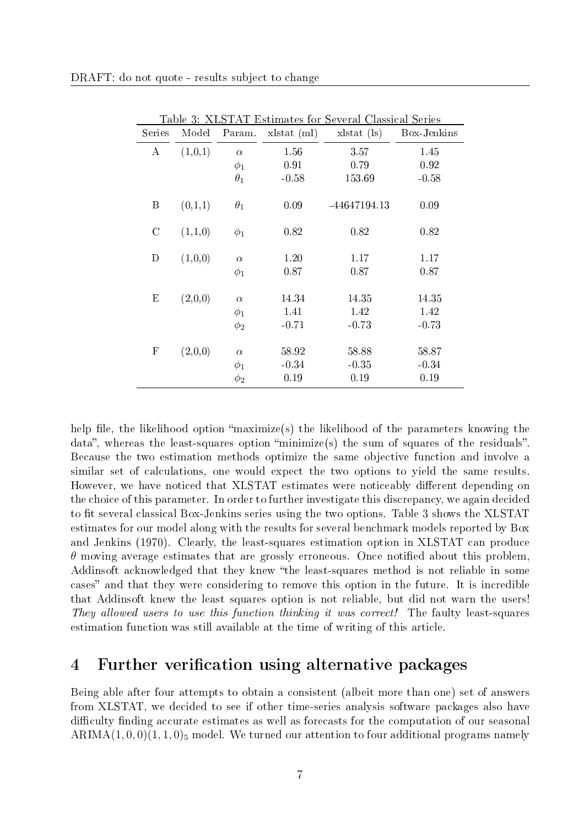| Series                    | Model   | Param.     | $x$ stat $(ml)$ | Table 9. ALD ITTL Latinates for Develar Classical Deficit<br>$x$ stat $($ ls $)$ | Box-Jenkins |
|---------------------------|---------|------------|-----------------|----------------------------------------------------------------------------------|-------------|
| A                         | (1,0,1) | $\alpha$   | 1.56            | 3.57                                                                             | 1.45        |
|                           |         | $\phi_1$   | 0.91            | 0.79                                                                             | 0.92        |
|                           |         | $\theta_1$ | $-0.58$         | 153.69                                                                           | $-0.58$     |
| Β                         | (0,1,1) | $\theta_1$ | 0.09            | -44647194.13                                                                     | 0.09        |
| $\mathcal{C}$             | (1,1,0) | $\phi_1$   | 0.82            | 0.82                                                                             | 0.82        |
| D                         | (1,0,0) | $\alpha$   | 1.20            | 1.17                                                                             | 1.17        |
|                           |         | $\phi_1$   | 0.87            | 0.87                                                                             | 0.87        |
| Ε                         | (2,0,0) | $\alpha$   | 14.34           | 14.35                                                                            | 14.35       |
|                           |         | $\phi_1$   | 1.41            | 1.42                                                                             | 1.42        |
|                           |         | $\phi_2$   | $-0.71$         | $-0.73$                                                                          | $-0.73$     |
|                           |         |            |                 |                                                                                  |             |
| $\boldsymbol{\mathrm{F}}$ | (2,0,0) | $\alpha$   | 58.92           | 58.88                                                                            | 58.87       |
|                           |         | $\phi_1$   | $-0.34$         | $-0.35$                                                                          | $-0.34$     |
|                           |         | $\phi_2$   | 0.19            | 0.19                                                                             | 0.19        |

Table 3: XLSTAT Estimates for Several Classical Series

help file, the likelihood option "maximize(s) the likelihood of the parameters knowing the data", whereas the least-squares option "minimize(s) the sum of squares of the residuals". Because the two estimation methods optimize the same objective function and involve a similar set of calculations, one would expect the two options to yield the same results. However, we have noticed that XLSTAT estimates were noticeably different depending on the choice of this parameter. In order to further investigate this discrepancy, we again decided to fit several classical Box-Jenkins series using the two options. Table 3 shows the XLSTAT estimates for our model along with the results for several benchmark models reported by Box and Jenkins (1970). Clearly, the least-squares estimation option in XLSTAT can produce  $\theta$  moving average estimates that are grossly erroneous. Once notified about this problem, Addinsoft acknowledged that they knew "the least-squares method is not reliable in some cases" and that they were considering to remove this option in the future. It is incredible that Addinsoft knew the least squares option is not reliable, but did not warn the users! They allowed users to use this function thinking it was correct! The faulty least-squares estimation function was still available at the time of writing of this article.

#### 4 Further verification using alternative packages

Being able after four attempts to obtain a consistent (albeit more than one) set of answers from XLSTAT, we decided to see if other time-series analysis software packages also have difficulty finding accurate estimates as well as forecasts for the computation of our seasonal ARIMA $(1, 0, 0)(1, 1, 0)$ <sub>5</sub> model. We turned our attention to four additional programs namely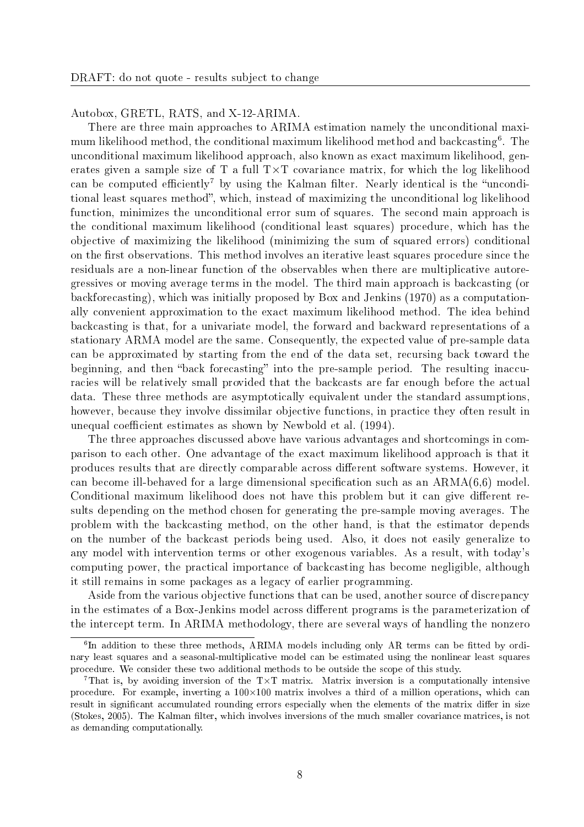Autobox, GRETL, RATS, and X-12-ARIMA.

There are three main approaches to ARIMA estimation namely the unconditional maximum likelihood method, the conditional maximum likelihood method and backcasting $^6$ . The unconditional maximum likelihood approach, also known as exact maximum likelihood, generates given a sample size of T a full  $T \times T$  covariance matrix, for which the log likelihood can be computed efficiently<sup>7</sup> by using the Kalman filter. Nearly identical is the "unconditional least squares method", which, instead of maximizing the unconditional log likelihood function, minimizes the unconditional error sum of squares. The second main approach is the conditional maximum likelihood (conditional least squares) procedure, which has the objective of maximizing the likelihood (minimizing the sum of squared errors) conditional on the first observations. This method involves an iterative least squares procedure since the residuals are a non-linear function of the observables when there are multiplicative autoregressives or moving average terms in the model. The third main approach is backcasting (or backforecasting), which was initially proposed by Box and Jenkins (1970) as a computationally convenient approximation to the exact maximum likelihood method. The idea behind backcasting is that, for a univariate model, the forward and backward representations of a stationary ARMA model are the same. Consequently, the expected value of pre-sample data can be approximated by starting from the end of the data set, recursing back toward the beginning, and then "back forecasting" into the pre-sample period. The resulting inaccuracies will be relatively small provided that the backcasts are far enough before the actual data. These three methods are asymptotically equivalent under the standard assumptions, however, because they involve dissimilar objective functions, in practice they often result in unequal coefficient estimates as shown by Newbold et al. (1994).

The three approaches discussed above have various advantages and shortcomings in comparison to each other. One advantage of the exact maximum likelihood approach is that it produces results that are directly comparable across dierent software systems. However, it can become ill-behaved for a large dimensional specification such as an  $ARMA(6,6)$  model. Conditional maximum likelihood does not have this problem but it can give different results depending on the method chosen for generating the pre-sample moving averages. The problem with the backcasting method, on the other hand, is that the estimator depends on the number of the backcast periods being used. Also, it does not easily generalize to any model with intervention terms or other exogenous variables. As a result, with today's computing power, the practical importance of backcasting has become negligible, although it still remains in some packages as a legacy of earlier programming.

Aside from the various objective functions that can be used, another source of discrepancy in the estimates of a Box-Jenkins model across different programs is the parameterization of the intercept term. In ARIMA methodology, there are several ways of handling the nonzero

 ${}^6$ In addition to these three methods, ARIMA models including only AR terms can be fitted by ordinary least squares and a seasonal-multiplicative model can be estimated using the nonlinear least squares procedure. We consider these two additional methods to be outside the scope of this study.

<sup>&</sup>lt;sup>7</sup>That is, by avoiding inversion of the  $T\times T$  matrix. Matrix inversion is a computationally intensive procedure. For example, inverting a  $100\times100$  matrix involves a third of a million operations, which can result in significant accumulated rounding errors especially when the elements of the matrix differ in size (Stokes, 2005). The Kalman filter, which involves inversions of the much smaller covariance matrices, is not as demanding computationally.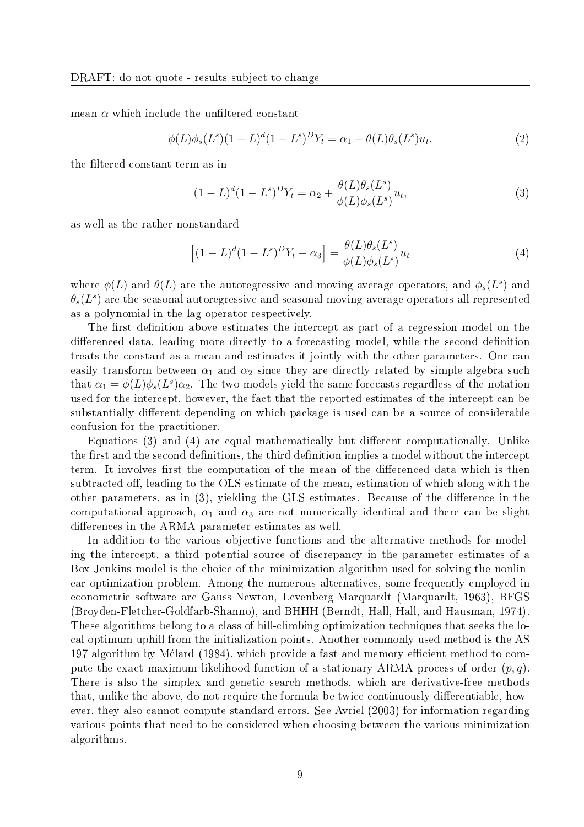mean  $\alpha$  which include the unfiltered constant

$$
\phi(L)\phi_s(L^s)(1-L)^d(1-L^s)^D Y_t = \alpha_1 + \theta(L)\theta_s(L^s)u_t,
$$
\n(2)

the filtered constant term as in

$$
(1 - L)^{d} (1 - L^{s})^{D} Y_{t} = \alpha_{2} + \frac{\theta(L)\theta_{s}(L^{s})}{\phi(L)\phi_{s}(L^{s})} u_{t},
$$
\n(3)

as well as the rather nonstandard

$$
\left[ (1 - L)^d (1 - L^s)^D Y_t - \alpha_3 \right] = \frac{\theta(L)\theta_s(L^s)}{\phi(L)\phi_s(L^s)} u_t \tag{4}
$$

where  $\phi(L)$  and  $\theta(L)$  are the autoregressive and moving-average operators, and  $\phi_s(L^s)$  and  $\theta_s(L^s)$  are the seasonal autoregressive and seasonal moving-average operators all represented as a polynomial in the lag operator respectively.

The first definition above estimates the intercept as part of a regression model on the differenced data, leading more directly to a forecasting model, while the second definition treats the constant as a mean and estimates it jointly with the other parameters. One can easily transform between  $\alpha_1$  and  $\alpha_2$  since they are directly related by simple algebra such that  $\alpha_1 = \phi(L)\phi_s(L^s)\alpha_2$ . The two models yield the same forecasts regardless of the notation used for the intercept, however, the fact that the reported estimates of the intercept can be substantially different depending on which package is used can be a source of considerable confusion for the practitioner.

Equations  $(3)$  and  $(4)$  are equal mathematically but different computationally. Unlike the first and the second definitions, the third definition implies a model without the intercept term. It involves first the computation of the mean of the differenced data which is then subtracted off, leading to the OLS estimate of the mean, estimation of which along with the other parameters, as in  $(3)$ , yielding the GLS estimates. Because of the difference in the computational approach,  $\alpha_1$  and  $\alpha_3$  are not numerically identical and there can be slight differences in the ARMA parameter estimates as well.

In addition to the various objective functions and the alternative methods for modeling the intercept, a third potential source of discrepancy in the parameter estimates of a Box-Jenkins model is the choice of the minimization algorithm used for solving the nonlinear optimization problem. Among the numerous alternatives, some frequently employed in econometric software are Gauss-Newton, Levenberg-Marquardt (Marquardt, 1963), BFGS (Broyden-Fletcher-Goldfarb-Shanno), and BHHH (Berndt, Hall, Hall, and Hausman, 1974). These algorithms belong to a class of hill-climbing optimization techniques that seeks the local optimum uphill from the initialization points. Another commonly used method is the AS 197 algorithm by Mélard (1984), which provide a fast and memory efficient method to compute the exact maximum likelihood function of a stationary ARMA process of order  $(p, q)$ . There is also the simplex and genetic search methods, which are derivative-free methods that, unlike the above, do not require the formula be twice continuously differentiable, however, they also cannot compute standard errors. See Avriel (2003) for information regarding various points that need to be considered when choosing between the various minimization algorithms.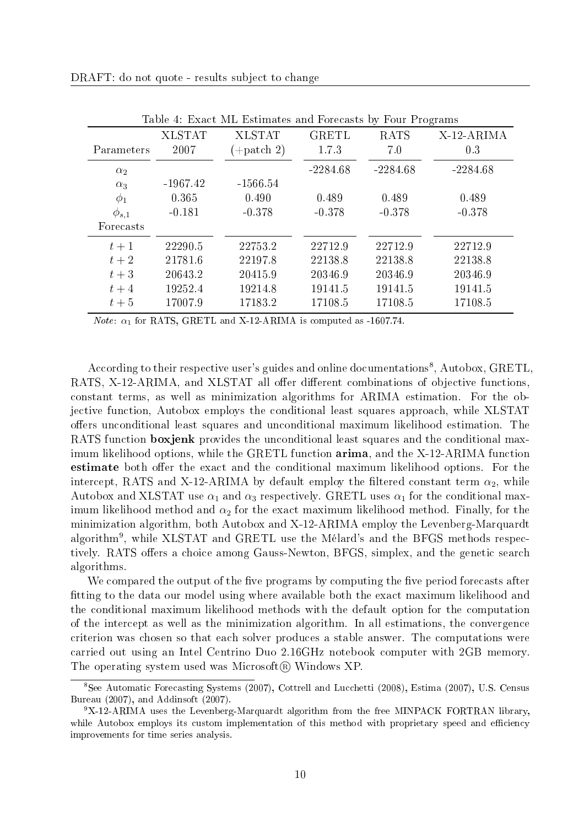|              |               | Table 4. EXact mill Estimates and Forceasts by Four Frograms |              |             |            |
|--------------|---------------|--------------------------------------------------------------|--------------|-------------|------------|
|              | <b>XLSTAT</b> | <b>XLSTAT</b>                                                | <b>GRETL</b> | <b>RATS</b> | X-12-ARIMA |
| Parameters   | 2007          | $(+$ patch 2)                                                | 1.7.3        | 7.0         | 0.3        |
| $\alpha_2$   |               |                                                              | $-2284.68$   | $-2284.68$  | $-2284.68$ |
| $\alpha_3$   | $-1967.42$    | $-1566.54$                                                   |              |             |            |
| $\phi_1$     | 0.365         | 0.490                                                        | 0.489        | 0.489       | 0.489      |
| $\phi_{s,1}$ | $-0.181$      | $-0.378$                                                     | $-0.378$     | $-0.378$    | $-0.378$   |
| Forecasts    |               |                                                              |              |             |            |
| $t+1$        | 22290.5       | 22753.2                                                      | 22712.9      | 22712.9     | 22712.9    |
| $t+2$        | 21781.6       | 22197.8                                                      | 22138.8      | 22138.8     | 22138.8    |
| $t+3$        | 20643.2       | 20415.9                                                      | 20346.9      | 20346.9     | 20346.9    |
| $t+4$        | 19252.4       | 19214.8                                                      | 19141.5      | 19141.5     | 19141.5    |
| $t+5$        | 17007.9       | 17183.2                                                      | 17108.5      | 17108.5     | 17108.5    |

Table 4: Exact ML Estimates and Forecasts by Four Programs

*Note:*  $\alpha_1$  for RATS, GRETL and X-12-ARIMA is computed as -1607.74.

According to their respective user's guides and online documentations<sup>8</sup>, Autobox, GRETL, RATS, X-12-ARIMA, and XLSTAT all offer different combinations of objective functions, constant terms, as well as minimization algorithms for ARIMA estimation. For the objective function, Autobox employs the conditional least squares approach, while XLSTAT offers unconditional least squares and unconditional maximum likelihood estimation. The RATS function **boxjenk** provides the unconditional least squares and the conditional maximum likelihood options, while the GRETL function arima, and the X-12-ARIMA function estimate both offer the exact and the conditional maximum likelihood options. For the intercept, RATS and X-12-ARIMA by default employ the filtered constant term  $\alpha_2$ , while Autobox and XLSTAT use  $\alpha_1$  and  $\alpha_3$  respectively. GRETL uses  $\alpha_1$  for the conditional maximum likelihood method and  $\alpha_2$  for the exact maximum likelihood method. Finally, for the minimization algorithm, both Autobox and X-12-ARIMA employ the Levenberg-Marquardt algorithm $^9$ , while XLSTAT and GRETL use the Mélard's and the BFGS methods respectively. RATS offers a choice among Gauss-Newton, BFGS, simplex, and the genetic search algorithms.

We compared the output of the five programs by computing the five period forecasts after fitting to the data our model using where available both the exact maximum likelihood and the conditional maximum likelihood methods with the default option for the computation of the intercept as well as the minimization algorithm. In all estimations, the convergence criterion was chosen so that each solver produces a stable answer. The computations were carried out using an Intel Centrino Duo 2.16GHz notebook computer with 2GB memory. The operating system used was Microsoft $(\mathbb{R})$  Windows XP.

<sup>8</sup>See Automatic Forecasting Systems (2007), Cottrell and Lucchetti (2008), Estima (2007), U.S. Census Bureau (2007), and Addinsoft (2007).

<sup>9</sup>X-12-ARIMA uses the Levenberg-Marquardt algorithm from the free MINPACK FORTRAN library, while Autobox employs its custom implementation of this method with proprietary speed and efficiency improvements for time series analysis.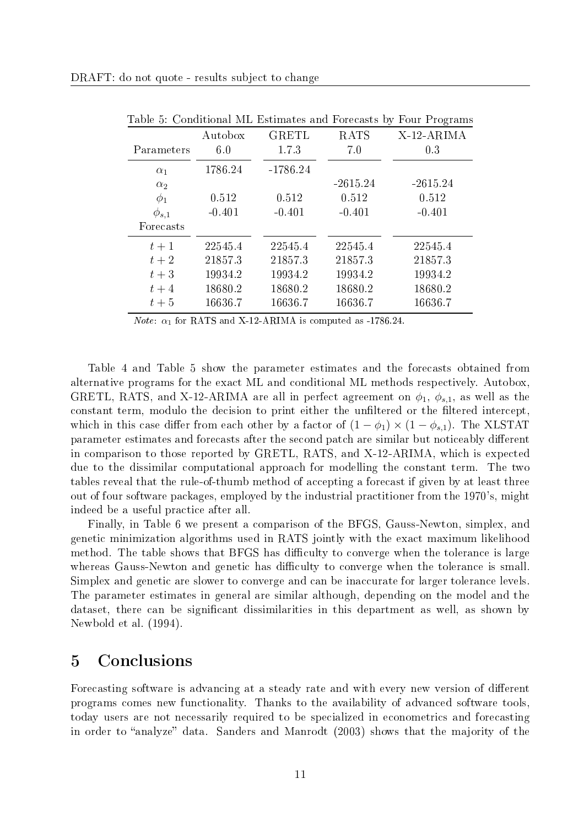| Parameters   | Autobox<br>6.0 | <b>GRETL</b><br>1.7.3 | <b>RATS</b><br>7.0 | X-12-ARIMA<br>0.3 |
|--------------|----------------|-----------------------|--------------------|-------------------|
| $\alpha_1$   | 1786.24        | $-1786.24$            |                    |                   |
| $\alpha_2$   |                |                       | $-2615.24$         | $-2615.24$        |
| $\phi_1$     | 0.512          | 0.512                 | 0.512              | 0.512             |
| $\phi_{s,1}$ | $-0.401$       | $-0.401$              | $-0.401$           | $-0.401$          |
| Forecasts    |                |                       |                    |                   |
| $t+1$        | 22545.4        | 22545.4               | 22545.4            | 22545.4           |
| $t+2$        | 21857.3        | 21857.3               | 21857.3            | 21857.3           |
| $t+3$        | 19934.2        | 19934.2               | 19934.2            | 19934.2           |
| $t+4$        | 18680.2        | 18680.2               | 18680.2            | 18680.2           |
| $t+5$        | 16636.7        | 16636.7               | 16636.7            | 16636.7           |

Table 5: Conditional ML Estimates and Forecasts by Four Programs

*Note:*  $\alpha_1$  for RATS and X-12-ARIMA is computed as -1786.24.

Table 4 and Table 5 show the parameter estimates and the forecasts obtained from alternative programs for the exact ML and conditional ML methods respectively. Autobox, GRETL, RATS, and X-12-ARIMA are all in perfect agreement on  $\phi_1$ ,  $\phi_{s,1}$ , as well as the constant term, modulo the decision to print either the unfiltered or the filtered intercept, which in this case differ from each other by a factor of  $(1 - \phi_1) \times (1 - \phi_{s,1})$ . The XLSTAT parameter estimates and forecasts after the second patch are similar but noticeably different in comparison to those reported by GRETL, RATS, and X-12-ARIMA, which is expected due to the dissimilar computational approach for modelling the constant term. The two tables reveal that the rule-of-thumb method of accepting a forecast if given by at least three out of four software packages, employed by the industrial practitioner from the 1970's, might indeed be a useful practice after all.

Finally, in Table 6 we present a comparison of the BFGS, Gauss-Newton, simplex, and genetic minimization algorithms used in RATS jointly with the exact maximum likelihood method. The table shows that BFGS has difficulty to converge when the tolerance is large whereas Gauss-Newton and genetic has difficulty to converge when the tolerance is small. Simplex and genetic are slower to converge and can be inaccurate for larger tolerance levels. The parameter estimates in general are similar although, depending on the model and the dataset, there can be significant dissimilarities in this department as well, as shown by Newbold et al. (1994).

#### 5 Conclusions

Forecasting software is advancing at a steady rate and with every new version of different programs comes new functionality. Thanks to the availability of advanced software tools, today users are not necessarily required to be specialized in econometrics and forecasting in order to "analyze" data. Sanders and Manrodt  $(2003)$  shows that the majority of the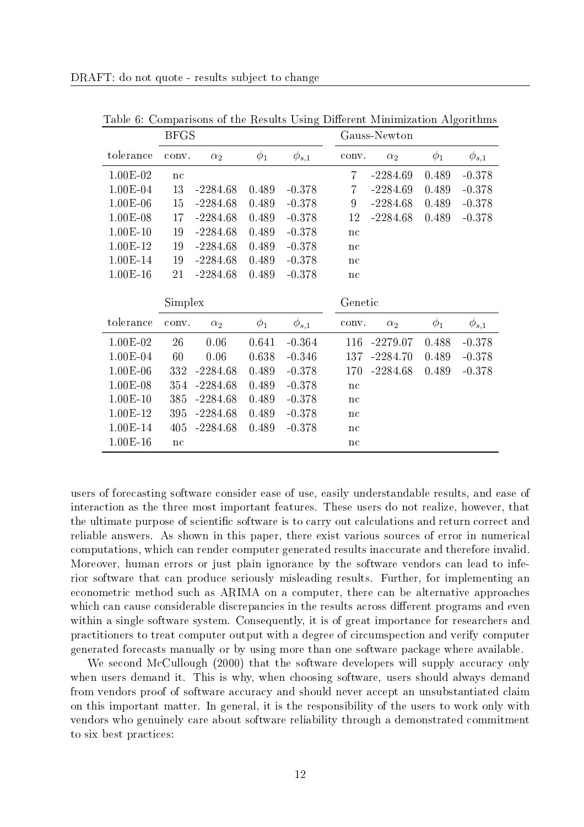| <b>BFGS</b> |       |            |          | Gauss-Newton |                |            |          |              |
|-------------|-------|------------|----------|--------------|----------------|------------|----------|--------------|
| tolerance   | conv. | $\alpha_2$ | $\phi_1$ | $\phi_{s,1}$ | conv.          | $\alpha_2$ | $\phi_1$ | $\phi_{s,1}$ |
| $1.00E-02$  | nc    |            |          |              | $\overline{7}$ | $-2284.69$ | 0.489    | $-0.378$     |
| $1.00E-04$  | 13    | $-2284.68$ | 0.489    | $-0.378$     | $\overline{7}$ | $-2284.69$ | 0.489    | $-0.378$     |
| $1.00E-06$  | 15    | $-2284.68$ | 0.489    | $-0.378$     | 9              | $-2284.68$ | 0.489    | $-0.378$     |
| $1.00E-08$  | 17    | $-2284.68$ | 0.489    | $-0.378$     | 12             | $-2284.68$ | 0.489    | $-0.378$     |
| $1.00E-10$  | 19    | $-2284.68$ | 0.489    | $-0.378$     | nc             |            |          |              |
| $1.00E-12$  | 19    | $-2284.68$ | 0.489    | $-0.378$     | nc             |            |          |              |
| 1.00E-14    | 19    | $-2284.68$ | 0.489    | $-0.378$     | nc             |            |          |              |
| $1.00E-16$  | 21    | $-2284.68$ | 0.489    | $-0.378$     | nc             |            |          |              |
| Simplex     |       |            |          |              |                |            |          |              |
|             |       |            |          |              | Genetic        |            |          |              |
| tolerance   | conv. | $\alpha_2$ | $\phi_1$ | $\phi_{s,1}$ | conv.          | $\alpha_2$ | $\phi_1$ | $\phi_{s,1}$ |
| $1.00E-02$  | 26    | 0.06       | 0.641    | $-0.364$     | 116            | $-2279.07$ | 0.488    | $-0.378$     |
| $1.00E-04$  | 60    | 0.06       | 0.638    | $-0.346$     | 137            | $-2284.70$ | 0.489    | $-0.378$     |
| $1.00E-06$  | 332   | $-2284.68$ | 0.489    | $-0.378$     | 170            | $-2284.68$ | 0.489    | $-0.378$     |
| $1.00E-08$  | 354   | $-2284.68$ | 0.489    | $-0.378$     | nc             |            |          |              |
| $1.00E-10$  | 385   | $-2284.68$ | 0.489    | $-0.378$     | nc             |            |          |              |
| 1.00E-12    | 395   | $-2284.68$ | 0.489    | $-0.378$     | nc             |            |          |              |
| 1.00E-14    | 405   | $-2284.68$ | 0.489    | $-0.378$     | nc             |            |          |              |

Table 6: Comparisons of the Results Using Different Minimization Algorithms

users of forecasting software consider ease of use, easily understandable results, and ease of interaction as the three most important features. These users do not realize, however, that the ultimate purpose of scientific software is to carry out calculations and return correct and reliable answers. As shown in this paper, there exist various sources of error in numerical computations, which can render computer generated results inaccurate and therefore invalid. Moreover, human errors or just plain ignorance by the software vendors can lead to inferior software that can produce seriously misleading results. Further, for implementing an econometric method such as ARIMA on a computer, there can be alternative approaches which can cause considerable discrepancies in the results across different programs and even within a single software system. Consequently, it is of great importance for researchers and practitioners to treat computer output with a degree of circumspection and verify computer generated forecasts manually or by using more than one software package where available.

We second McCullough (2000) that the software developers will supply accuracy only when users demand it. This is why, when choosing software, users should always demand from vendors proof of software accuracy and should never accept an unsubstantiated claim on this important matter. In general, it is the responsibility of the users to work only with vendors who genuinely care about software reliability through a demonstrated commitment to six best practices: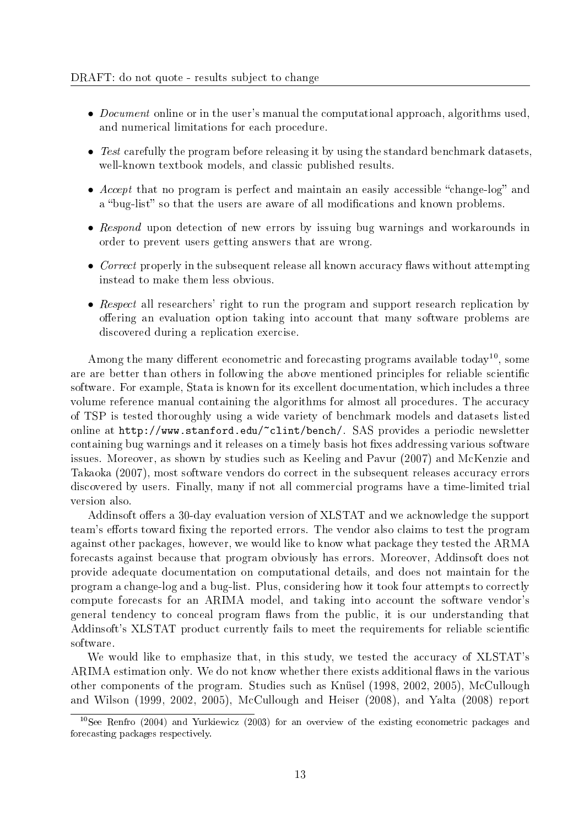- *Document* online or in the user's manual the computational approach, algorithms used, and numerical limitations for each procedure.
- Test carefully the program before releasing it by using the standard benchmark datasets, well-known textbook models, and classic published results.
- Accept that no program is perfect and maintain an easily accessible "change-log" and a "bug-list" so that the users are aware of all modifications and known problems.
- Respond upon detection of new errors by issuing bug warnings and workarounds in order to prevent users getting answers that are wrong.
- Correct properly in the subsequent release all known accuracy flaws without attempting instead to make them less obvious.
- Respect all researchers' right to run the program and support research replication by offering an evaluation option taking into account that many software problems are discovered during a replication exercise.

Among the many different econometric and forecasting programs available today<sup>10</sup>, some are are better than others in following the above mentioned principles for reliable scientific software. For example, Stata is known for its excellent documentation, which includes a three volume reference manual containing the algorithms for almost all procedures. The accuracy of TSP is tested thoroughly using a wide variety of benchmark models and datasets listed online at http://www.stanford.edu/~clint/bench/. SAS provides a periodic newsletter containing bug warnings and it releases on a timely basis hot fixes addressing various software issues. Moreover, as shown by studies such as Keeling and Pavur (2007) and McKenzie and Takaoka (2007), most software vendors do correct in the subsequent releases accuracy errors discovered by users. Finally, many if not all commercial programs have a time-limited trial version also.

Addinsoft offers a 30-day evaluation version of XLSTAT and we acknowledge the support team's efforts toward fixing the reported errors. The vendor also claims to test the program against other packages, however, we would like to know what package they tested the ARMA forecasts against because that program obviously has errors. Moreover, Addinsoft does not provide adequate documentation on computational details, and does not maintain for the program a change-log and a bug-list. Plus, considering how it took four attempts to correctly compute forecasts for an ARIMA model, and taking into account the software vendor's general tendency to conceal program flaws from the public, it is our understanding that Addinsoft's XLSTAT product currently fails to meet the requirements for reliable scientific software.

We would like to emphasize that, in this study, we tested the accuracy of XLSTAT's ARIMA estimation only. We do not know whether there exists additional flaws in the various other components of the program. Studies such as Knüsel (1998, 2002, 2005), McCullough and Wilson (1999, 2002, 2005), McCullough and Heiser (2008), and Yalta (2008) report

<sup>&</sup>lt;sup>10</sup>See Renfro (2004) and Yurkiewicz (2003) for an overview of the existing econometric packages and forecasting packages respectively.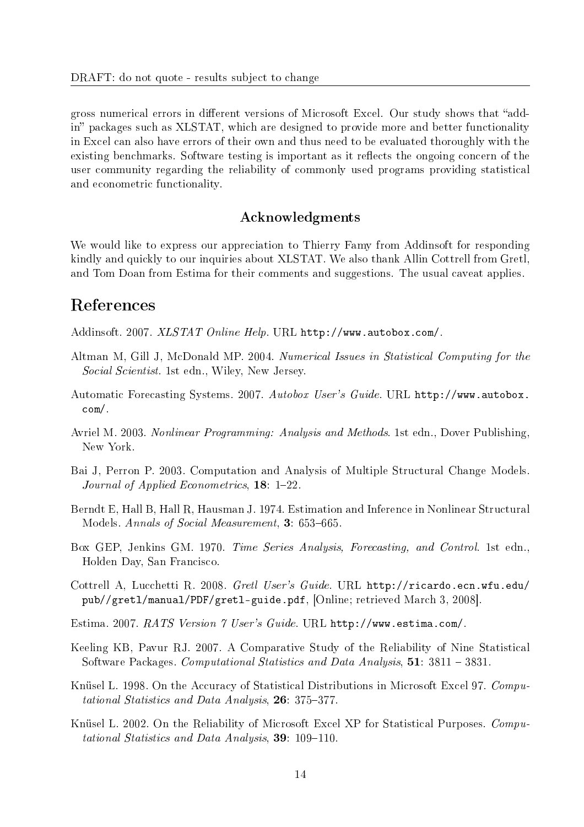gross numerical errors in different versions of Microsoft Excel. Our study shows that "addin" packages such as XLSTAT, which are designed to provide more and better functionality in Excel can also have errors of their own and thus need to be evaluated thoroughly with the existing benchmarks. Software testing is important as it reflects the ongoing concern of the user community regarding the reliability of commonly used programs providing statistical and econometric functionality.

#### Acknowledgments

We would like to express our appreciation to Thierry Famy from Addinsoft for responding kindly and quickly to our inquiries about XLSTAT. We also thank Allin Cottrell from Gretl, and Tom Doan from Estima for their comments and suggestions. The usual caveat applies.

#### References

Addinsoft. 2007. XLSTAT Online Help. URL http://www.autobox.com/.

- Altman M, Gill J, McDonald MP. 2004. Numerical Issues in Statistical Computing for the Social Scientist. 1st edn., Wiley, New Jersey.
- Automatic Forecasting Systems. 2007. Autobox User's Guide. URL http://www.autobox. com/.
- Avriel M. 2003. Nonlinear Programming: Analysis and Methods. 1st edn., Dover Publishing, New York.
- Bai J, Perron P. 2003. Computation and Analysis of Multiple Structural Change Models. Journal of Applied Econometrics,  $18: 1-22$ .
- Berndt E, Hall B, Hall R, Hausman J. 1974. Estimation and Inference in Nonlinear Structural Models. Annals of Social Measurement, 3: 653–665.
- Box GEP, Jenkins GM. 1970. Time Series Analysis, Forecasting, and Control. 1st edn., Holden Day, San Francisco.
- Cottrell A, Lucchetti R. 2008. Gretl User's Guide. URL http://ricardo.ecn.wfu.edu/ pub//gretl/manual/PDF/gretl-guide.pdf, [Online; retrieved March 3, 2008].
- Estima. 2007. RATS Version 7 User's Guide. URL http://www.estima.com/.
- Keeling KB, Pavur RJ. 2007. A Comparative Study of the Reliability of Nine Statistical Software Packages. Computational Statistics and Data Analysis, 51: 3811 - 3831.
- Knüsel L. 1998. On the Accuracy of Statistical Distributions in Microsoft Excel 97. Computational Statistics and Data Analysis,  $26: 375-377$ .
- Knüsel L. 2002. On the Reliability of Microsoft Excel XP for Statistical Purposes. Computational Statistics and Data Analysis,  $39: 109-110$ .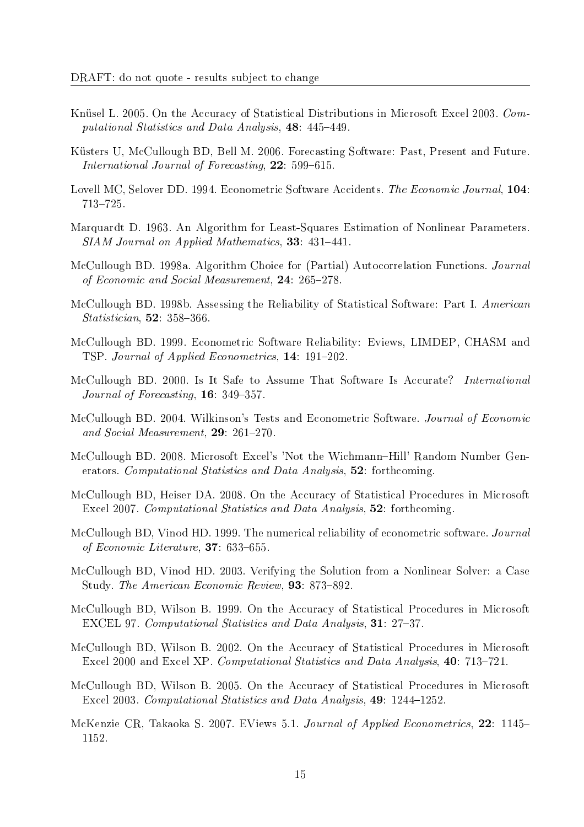- Knüsel L. 2005. On the Accuracy of Statistical Distributions in Microsoft Excel 2003. Computational Statistics and Data Analysis, 48: 445-449.
- Küsters U, McCullough BD, Bell M. 2006. Forecasting Software: Past, Present and Future. International Journal of Forecasting,  $22: 599-615$ .
- Lovell MC, Selover DD, 1994. Econometric Software Accidents. The Economic Journal, 104: 713-725.
- Marquardt D. 1963. An Algorithm for Least-Squares Estimation of Nonlinear Parameters.  $SIAM\ Journal\ on\ Applied\ Mathematics\$ , 33: 431-441.
- McCullough BD. 1998a. Algorithm Choice for (Partial) Autocorrelation Functions. Journal of Economic and Social Measurement,  $24: 265-278$ .
- McCullough BD. 1998b. Assessing the Reliability of Statistical Software: Part I. American Statistician,  $52: 358-366$ .
- McCullough BD. 1999. Econometric Software Reliability: Eviews, LIMDEP, CHASM and TSP. Journal of Applied Econometrics, 14: 191-202.
- McCullough BD. 2000. Is It Safe to Assume That Software Is Accurate? International Journal of Forecasting,  $16: 349-357$ .
- McCullough BD. 2004. Wilkinson's Tests and Econometric Software. Journal of Economic and Social Measurement,  $29: 261-270$ .
- McCullough BD. 2008. Microsoft Excel's 'Not the Wichmann-Hill' Random Number Generators. Computational Statistics and Data Analysis, 52: forthcoming.
- McCullough BD, Heiser DA. 2008. On the Accuracy of Statistical Procedures in Microsoft Excel 2007. Computational Statistics and Data Analysis, 52: forthcoming.
- McCullough BD, Vinod HD. 1999. The numerical reliability of econometric software. Journal of Economic Literature,  $37: 633-655$ .
- McCullough BD, Vinod HD. 2003. Verifying the Solution from a Nonlinear Solver: a Case Study. The American Economic Review, 93: 873-892.
- McCullough BD, Wilson B. 1999. On the Accuracy of Statistical Procedures in Microsoft EXCEL 97. Computational Statistics and Data Analysis, 31: 27-37.
- McCullough BD, Wilson B. 2002. On the Accuracy of Statistical Procedures in Microsoft Excel 2000 and Excel XP. Computational Statistics and Data Analysis, 40: 713-721.
- McCullough BD, Wilson B. 2005. On the Accuracy of Statistical Procedures in Microsoft Excel 2003. Computational Statistics and Data Analysis,  $49: 1244-1252$ .
- McKenzie CR, Takaoka S. 2007. EViews 5.1. Journal of Applied Econometrics, 22: 1145 1152.